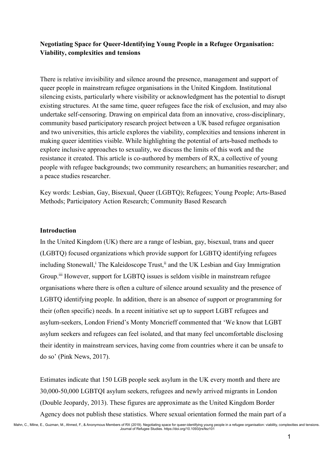# **Negotiating Space for Queer-Identifying Young People in a Refugee Organisation: Viability, complexities and tensions**

There is relative invisibility and silence around the presence, management and support of queer people in mainstream refugee organisations in the United Kingdom. Institutional silencing exists, particularly where visibility or acknowledgment has the potential to disrupt existing structures. At the same time, queer refugees face the risk of exclusion, and may also undertake self-censoring. Drawing on empirical data from an innovative, cross-disciplinary, community based participatory research project between a UK based refugee organisation and two universities, this article explores the viability, complexities and tensions inherent in making queer identities visible. While highlighting the potential of arts-based methods to explore inclusive approaches to sexuality, we discuss the limits of this work and the resistance it created. This article is co-authored by members of RX, a collective of young people with refugee backgrounds; two community researchers; an humanities researcher; and a peace studies researcher.

Key words: Lesbian, Gay, Bisexual, Queer (LGBTQ); Refugees; Young People; Arts-Based Methods; Participatory Action Research; Community Based Research

### **Introduction**

In the United Kingdom (UK) there are a range of lesbian, gay, bisexual, trans and queer (LGBTQ) focused organizations which provide support for LGBTQ identifying refugees including Stonewall,<sup>i</sup> The Kaleidoscope Trust,<sup>ii</sup> and the UK Lesbian and Gay Immigration Group.<sup>iii</sup> However, support for LGBTQ issues is seldom visible in mainstream refugee organisations where there is often a culture of silence around sexuality and the presence of LGBTQ identifying people. In addition, there is an absence of support or programming for their (often specific) needs. In a recent initiative set up to support LGBT refugees and asylum-seekers, London Friend's Monty Moncrieff commented that 'We know that LGBT asylum seekers and refugees can feel isolated, and that many feel uncomfortable disclosing their identity in mainstream services, having come from countries where it can be unsafe to do so' (Pink News, 2017).

Estimates indicate that 150 LGB people seek asylum in the UK every month and there are 30,000-50,000 LGBTQI asylum seekers, refugees and newly arrived migrants in London (Double Jeopardy, 2013). These figures are approximate as the United Kingdom Border Agency does not publish these statistics. Where sexual orientation formed the main part of a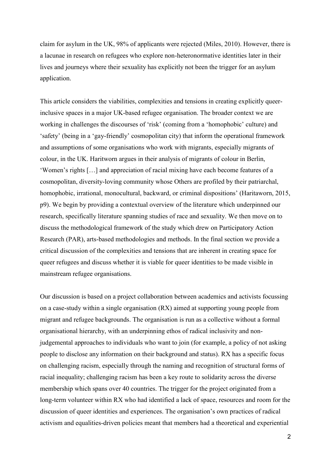claim for asylum in the UK, 98% of applicants were rejected (Miles, 2010). However, there is a lacunae in research on refugees who explore non-heteronormative identities later in their lives and journeys where their sexuality has explicitly not been the trigger for an asylum application.

This article considers the viabilities, complexities and tensions in creating explicitly queerinclusive spaces in a major UK-based refugee organisation. The broader context we are working in challenges the discourses of 'risk' (coming from a 'homophobic' culture) and 'safety' (being in a 'gay-friendly' cosmopolitan city) that inform the operational framework and assumptions of some organisations who work with migrants, especially migrants of colour, in the UK. Haritworn argues in their analysis of migrants of colour in Berlin, 'Women's rights […] and appreciation of racial mixing have each become features of a cosmopolitan, diversity-loving community whose Others are profiled by their patriarchal, homophobic, irrational, monocultural, backward, or criminal dispositions' (Haritaworn, 2015, p9). We begin by providing a contextual overview of the literature which underpinned our research, specifically literature spanning studies of race and sexuality. We then move on to discuss the methodological framework of the study which drew on Participatory Action Research (PAR), arts-based methodologies and methods. In the final section we provide a critical discussion of the complexities and tensions that are inherent in creating space for queer refugees and discuss whether it is viable for queer identities to be made visible in mainstream refugee organisations.

Our discussion is based on a project collaboration between academics and activists focussing on a case-study within a single organisation (RX) aimed at supporting young people from migrant and refugee backgrounds. The organisation is run as a collective without a formal organisational hierarchy, with an underpinning ethos of radical inclusivity and nonjudgemental approaches to individuals who want to join (for example, a policy of not asking people to disclose any information on their background and status). RX has a specific focus on challenging racism, especially through the naming and recognition of structural forms of racial inequality; challenging racism has been a key route to solidarity across the diverse membership which spans over 40 countries. The trigger for the project originated from a long-term volunteer within RX who had identified a lack of space, resources and room for the discussion of queer identities and experiences. The organisation's own practices of radical activism and equalities-driven policies meant that members had a theoretical and experiential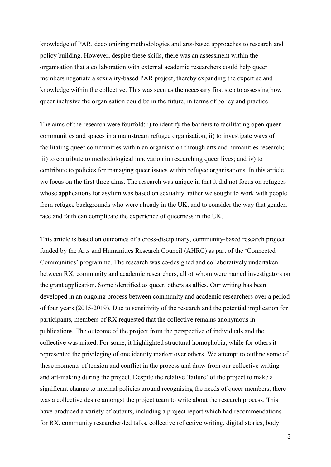knowledge of PAR, decolonizing methodologies and arts-based approaches to research and policy building. However, despite these skills, there was an assessment within the organisation that a collaboration with external academic researchers could help queer members negotiate a sexuality-based PAR project, thereby expanding the expertise and knowledge within the collective. This was seen as the necessary first step to assessing how queer inclusive the organisation could be in the future, in terms of policy and practice.

The aims of the research were fourfold: i) to identify the barriers to facilitating open queer communities and spaces in a mainstream refugee organisation; ii) to investigate ways of facilitating queer communities within an organisation through arts and humanities research; iii) to contribute to methodological innovation in researching queer lives; and iv) to contribute to policies for managing queer issues within refugee organisations. In this article we focus on the first three aims. The research was unique in that it did not focus on refugees whose applications for asylum was based on sexuality, rather we sought to work with people from refugee backgrounds who were already in the UK, and to consider the way that gender, race and faith can complicate the experience of queerness in the UK.

This article is based on outcomes of a cross-disciplinary, community-based research project funded by the Arts and Humanities Research Council (AHRC) as part of the 'Connected Communities' programme. The research was co-designed and collaboratively undertaken between RX, community and academic researchers, all of whom were named investigators on the grant application. Some identified as queer, others as allies. Our writing has been developed in an ongoing process between community and academic researchers over a period of four years (2015-2019). Due to sensitivity of the research and the potential implication for participants, members of RX requested that the collective remains anonymous in publications. The outcome of the project from the perspective of individuals and the collective was mixed. For some, it highlighted structural homophobia, while for others it represented the privileging of one identity marker over others. We attempt to outline some of these moments of tension and conflict in the process and draw from our collective writing and art-making during the project. Despite the relative 'failure' of the project to make a significant change to internal policies around recognising the needs of queer members, there was a collective desire amongst the project team to write about the research process. This have produced a variety of outputs, including a project report which had recommendations for RX, community researcher-led talks, collective reflective writing, digital stories, body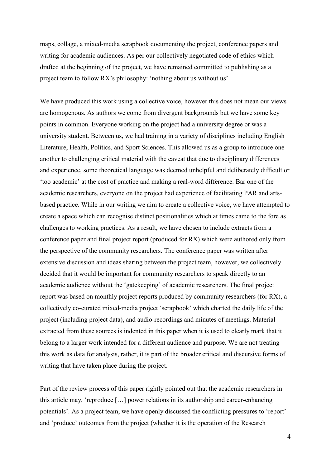maps, collage, a mixed-media scrapbook documenting the project, conference papers and writing for academic audiences. As per our collectively negotiated code of ethics which drafted at the beginning of the project, we have remained committed to publishing as a project team to follow RX's philosophy: 'nothing about us without us'.

We have produced this work using a collective voice, however this does not mean our views are homogenous. As authors we come from divergent backgrounds but we have some key points in common. Everyone working on the project had a university degree or was a university student. Between us, we had training in a variety of disciplines including English Literature, Health, Politics, and Sport Sciences. This allowed us as a group to introduce one another to challenging critical material with the caveat that due to disciplinary differences and experience, some theoretical language was deemed unhelpful and deliberately difficult or 'too academic' at the cost of practice and making a real-word difference. Bar one of the academic researchers, everyone on the project had experience of facilitating PAR and artsbased practice. While in our writing we aim to create a collective voice, we have attempted to create a space which can recognise distinct positionalities which at times came to the fore as challenges to working practices. As a result, we have chosen to include extracts from a conference paper and final project report (produced for RX) which were authored only from the perspective of the community researchers. The conference paper was written after extensive discussion and ideas sharing between the project team, however, we collectively decided that it would be important for community researchers to speak directly to an academic audience without the 'gatekeeping' of academic researchers. The final project report was based on monthly project reports produced by community researchers (for RX), a collectively co-curated mixed-media project 'scrapbook' which charted the daily life of the project (including project data), and audio-recordings and minutes of meetings. Material extracted from these sources is indented in this paper when it is used to clearly mark that it belong to a larger work intended for a different audience and purpose. We are not treating this work as data for analysis, rather, it is part of the broader critical and discursive forms of writing that have taken place during the project.

Part of the review process of this paper rightly pointed out that the academic researchers in this article may, 'reproduce […] power relations in its authorship and career-enhancing potentials'. As a project team, we have openly discussed the conflicting pressures to 'report' and 'produce' outcomes from the project (whether it is the operation of the Research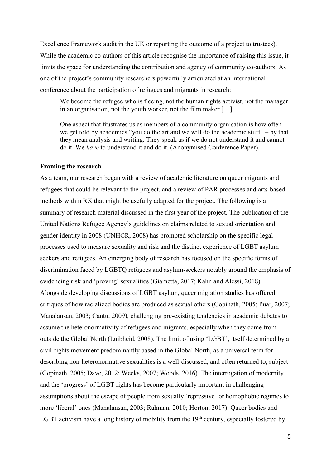Excellence Framework audit in the UK or reporting the outcome of a project to trustees). While the academic co-authors of this article recognise the importance of raising this issue, it limits the space for understanding the contribution and agency of community co-authors. As one of the project's community researchers powerfully articulated at an international conference about the participation of refugees and migrants in research:

We become the refugee who is fleeing, not the human rights activist, not the manager in an organisation, not the youth worker, not the film maker […]

One aspect that frustrates us as members of a community organisation is how often we get told by academics "you do the art and we will do the academic stuff" – by that they mean analysis and writing. They speak as if we do not understand it and cannot do it. We *have* to understand it and do it. (Anonymised Conference Paper).

### **Framing the research**

As a team, our research began with a review of academic literature on queer migrants and refugees that could be relevant to the project, and a review of PAR processes and arts-based methods within RX that might be usefully adapted for the project. The following is a summary of research material discussed in the first year of the project. The publication of the United Nations Refugee Agency's guidelines on claims related to sexual orientation and gender identity in 2008 (UNHCR, 2008) has prompted scholarship on the specific legal processes used to measure sexuality and risk and the distinct experience of LGBT asylum seekers and refugees. An emerging body of research has focused on the specific forms of discrimination faced by LGBTQ refugees and asylum-seekers notably around the emphasis of evidencing risk and 'proving' sexualities (Giametta, 2017; Kahn and Alessi, 2018). Alongside developing discussions of LGBT asylum, queer migration studies has offered critiques of how racialized bodies are produced as sexual others (Gopinath, 2005; Puar, 2007; Manalansan, 2003; Cantu, 2009), challenging pre-existing tendencies in academic debates to assume the heteronormativity of refugees and migrants, especially when they come from outside the Global North (Luibheid, 2008). The limit of using 'LGBT', itself determined by a civil-rights movement predominantly based in the Global North, as a universal term for describing non-heteronormative sexualities is a well-discussed, and often returned to, subject (Gopinath, 2005; Dave, 2012; Weeks, 2007; Woods, 2016). The interrogation of modernity and the 'progress' of LGBT rights has become particularly important in challenging assumptions about the escape of people from sexually 'repressive' or homophobic regimes to more 'liberal' ones (Manalansan, 2003; Rahman, 2010; Horton, 2017). Queer bodies and LGBT activism have a long history of mobility from the  $19<sup>th</sup>$  century, especially fostered by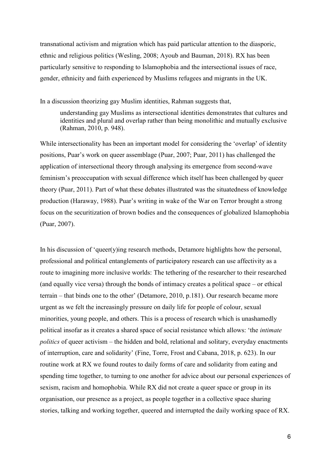transnational activism and migration which has paid particular attention to the diasporic, ethnic and religious politics (Wesling, 2008; Ayoub and Bauman, 2018). RX has been particularly sensitive to responding to Islamophobia and the intersectional issues of race, gender, ethnicity and faith experienced by Muslims refugees and migrants in the UK.

In a discussion theorizing gay Muslim identities, Rahman suggests that,

understanding gay Muslims as intersectional identities demonstrates that cultures and identities and plural and overlap rather than being monolithic and mutually exclusive (Rahman, 2010, p. 948).

While intersectionality has been an important model for considering the 'overlap' of identity positions, Puar's work on queer assemblage (Puar, 2007; Puar, 2011) has challenged the application of intersectional theory through analysing its emergence from second-wave feminism's preoccupation with sexual difference which itself has been challenged by queer theory (Puar, 2011). Part of what these debates illustrated was the situatedness of knowledge production (Haraway, 1988). Puar's writing in wake of the War on Terror brought a strong focus on the securitization of brown bodies and the consequences of globalized Islamophobia (Puar, 2007).

In his discussion of 'queer(y)ing research methods, Detamore highlights how the personal, professional and political entanglements of participatory research can use affectivity as a route to imagining more inclusive worlds: The tethering of the researcher to their researched (and equally vice versa) through the bonds of intimacy creates a political space – or ethical terrain – that binds one to the other' (Detamore, 2010, p.181). Our research became more urgent as we felt the increasingly pressure on daily life for people of colour, sexual minorities, young people, and others. This is a process of research which is unashamedly political insofar as it creates a shared space of social resistance which allows: 'the *intimate politics* of queer activism – the hidden and bold, relational and solitary, everyday enactments of interruption, care and solidarity' (Fine, Torre, Frost and Cabana, 2018, p. 623). In our routine work at RX we found routes to daily forms of care and solidarity from eating and spending time together, to turning to one another for advice about our personal experiences of sexism, racism and homophobia. While RX did not create a queer space or group in its organisation, our presence as a project, as people together in a collective space sharing stories, talking and working together, queered and interrupted the daily working space of RX.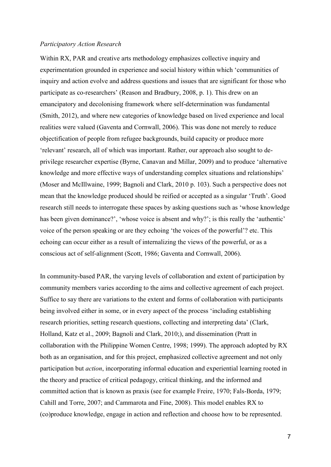### *Participatory Action Research*

Within RX, PAR and creative arts methodology emphasizes collective inquiry and experimentation grounded in experience and social history within which 'communities of inquiry and action evolve and address questions and issues that are significant for those who participate as co-researchers' (Reason and Bradbury, 2008, p. 1). This drew on an emancipatory and decolonising framework where self-determination was fundamental (Smith, 2012), and where new categories of knowledge based on lived experience and local realities were valued (Gaventa and Cornwall, 2006). This was done not merely to reduce objectification of people from refugee backgrounds, build capacity or produce more 'relevant' research, all of which was important. Rather, our approach also sought to deprivilege researcher expertise (Byrne, Canavan and Millar, 2009) and to produce 'alternative knowledge and more effective ways of understanding complex situations and relationships' (Moser and McIllwaine, 1999; Bagnoli and Clark, 2010 p. 103). Such a perspective does not mean that the knowledge produced should be reified or accepted as a singular 'Truth'. Good research still needs to interrogate these spaces by asking questions such as 'whose knowledge has been given dominance?', 'whose voice is absent and why?'; is this really the 'authentic' voice of the person speaking or are they echoing 'the voices of the powerful'? etc. This echoing can occur either as a result of internalizing the views of the powerful, or as a conscious act of self-alignment (Scott, 1986; Gaventa and Cornwall, 2006).

In community-based PAR, the varying levels of collaboration and extent of participation by community members varies according to the aims and collective agreement of each project. Suffice to say there are variations to the extent and forms of collaboration with participants being involved either in some, or in every aspect of the process 'including establishing research priorities, setting research questions, collecting and interpreting data' (Clark, Holland, Katz et al., 2009; Bagnoli and Clark, 2010;), and dissemination (Pratt in collaboration with the Philippine Women Centre, 1998; 1999). The approach adopted by RX both as an organisation, and for this project, emphasized collective agreement and not only participation but *action*, incorporating informal education and experiential learning rooted in the theory and practice of critical pedagogy, critical thinking, and the informed and committed action that is known as praxis (see for example Freire, 1970; Fals-Borda, 1979; Cahill and Torre, 2007; and Cammarota and Fine, 2008). This model enables RX to (co)produce knowledge, engage in action and reflection and choose how to be represented.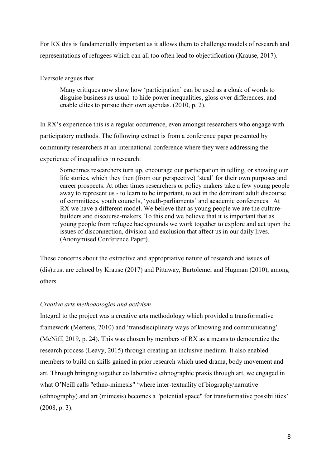For RX this is fundamentally important as it allows them to challenge models of research and representations of refugees which can all too often lead to objectification (Krause, 2017).

Eversole argues that

Many critiques now show how 'participation' can be used as a cloak of words to disguise business as usual: to hide power inequalities, gloss over differences, and enable elites to pursue their own agendas. (2010, p. 2).

In RX's experience this is a regular occurrence, even amongst researchers who engage with participatory methods. The following extract is from a conference paper presented by community researchers at an international conference where they were addressing the experience of inequalities in research:

Sometimes researchers turn up, encourage our participation in telling, or showing our life stories, which they then (from our perspective) 'steal' for their own purposes and career prospects. At other times researchers or policy makers take a few young people away to represent us - to learn to be important, to act in the dominant adult discourse of committees, youth councils, 'youth-parliaments' and academic conferences. At RX we have a different model. We believe that as young people we are the culturebuilders and discourse-makers. To this end we believe that it is important that as young people from refugee backgrounds we work together to explore and act upon the issues of disconnection, division and exclusion that affect us in our daily lives. (Anonymised Conference Paper).

These concerns about the extractive and appropriative nature of research and issues of (dis)trust are echoed by Krause (2017) and Pittaway, Bartolemei and Hugman (2010), among others.

### *Creative arts methodologies and activism*

Integral to the project was a creative arts methodology which provided a transformative framework (Mertens, 2010) and 'transdisciplinary ways of knowing and communicating' (McNiff, 2019, p. 24). This was chosen by members of RX as a means to democratize the research process (Leavy, 2015) through creating an inclusive medium. It also enabled members to build on skills gained in prior research which used drama, body movement and art. Through bringing together collaborative ethnographic praxis through art, we engaged in what O'Neill calls "ethno-mimesis" 'where inter-textuality of biography/narrative (ethnography) and art (mimesis) becomes a "potential space" for transformative possibilities' (2008, p. 3).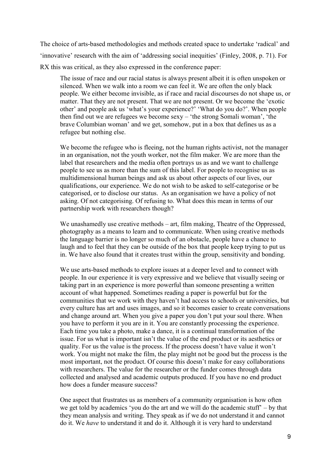The choice of arts-based methodologies and methods created space to undertake 'radical' and 'innovative' research with the aim of 'addressing social inequities' (Finley, 2008, p. 71). For RX this was critical, as they also expressed in the conference paper:

The issue of race and our racial status is always present albeit it is often unspoken or silenced. When we walk into a room we can feel it. We are often the only black people. We either become invisible, as if race and racial discourses do not shape us, or matter. That they are not present. That we are not present. Or we become the 'exotic other' and people ask us 'what's your experience?' 'What do you do?'. When people then find out we are refugees we become sexy – 'the strong Somali woman', 'the brave Columbian woman' and we get, somehow, put in a box that defines us as a refugee but nothing else.

We become the refugee who is fleeing, not the human rights activist, not the manager in an organisation, not the youth worker, not the film maker. We are more than the label that researchers and the media often portrays us as and we want to challenge people to see us as more than the sum of this label. For people to recognise us as multidimensional human beings and ask us about other aspects of our lives, our qualifications, our experience. We do not wish to be asked to self-categorise or be categorised, or to disclose our status. As an organisation we have a policy of not asking. Of not categorising. Of refusing to. What does this mean in terms of our partnership work with researchers though?

We unashamedly use creative methods – art, film making, Theatre of the Oppressed, photography as a means to learn and to communicate. When using creative methods the language barrier is no longer so much of an obstacle, people have a chance to laugh and to feel that they can be outside of the box that people keep trying to put us in. We have also found that it creates trust within the group, sensitivity and bonding.

We use arts-based methods to explore issues at a deeper level and to connect with people. In our experience it is very expressive and we believe that visually seeing or taking part in an experience is more powerful than someone presenting a written account of what happened. Sometimes reading a paper is powerful but for the communities that we work with they haven't had access to schools or universities, but every culture has art and uses images, and so it becomes easier to create conversations and change around art. When you give a paper you don't put your soul there. When you have to perform it you are in it. You are constantly processing the experience. Each time you take a photo, make a dance, it is a continual transformation of the issue. For us what is important isn't the value of the end product or its aesthetics or quality. For us the value is the process. If the process doesn't have value it won't work. You might not make the film, the play might not be good but the process is the most important, not the product. Of course this doesn't make for easy collaborations with researchers. The value for the researcher or the funder comes through data collected and analysed and academic outputs produced. If you have no end product how does a funder measure success?

One aspect that frustrates us as members of a community organisation is how often we get told by academics 'you do the art and we will do the academic stuff' – by that they mean analysis and writing. They speak as if we do not understand it and cannot do it. We *have* to understand it and do it. Although it is very hard to understand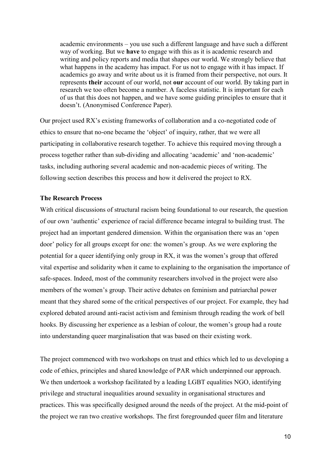academic environments – you use such a different language and have such a different way of working. But we **have** to engage with this as it is academic research and writing and policy reports and media that shapes our world. We strongly believe that what happens in the academy has impact. For us not to engage with it has impact. If academics go away and write about us it is framed from their perspective, not ours. It represents **their** account of our world, not **our** account of our world. By taking part in research we too often become a number. A faceless statistic. It is important for each of us that this does not happen, and we have some guiding principles to ensure that it doesn't. (Anonymised Conference Paper).

Our project used RX's existing frameworks of collaboration and a co-negotiated code of ethics to ensure that no-one became the 'object' of inquiry, rather, that we were all participating in collaborative research together. To achieve this required moving through a process together rather than sub-dividing and allocating 'academic' and 'non-academic' tasks, including authoring several academic and non-academic pieces of writing. The following section describes this process and how it delivered the project to RX.

## **The Research Process**

With critical discussions of structural racism being foundational to our research, the question of our own 'authentic' experience of racial difference became integral to building trust. The project had an important gendered dimension. Within the organisation there was an 'open door' policy for all groups except for one: the women's group. As we were exploring the potential for a queer identifying only group in RX, it was the women's group that offered vital expertise and solidarity when it came to explaining to the organisation the importance of safe-spaces. Indeed, most of the community researchers involved in the project were also members of the women's group. Their active debates on feminism and patriarchal power meant that they shared some of the critical perspectives of our project. For example, they had explored debated around anti-racist activism and feminism through reading the work of bell hooks. By discussing her experience as a lesbian of colour, the women's group had a route into understanding queer marginalisation that was based on their existing work.

The project commenced with two workshops on trust and ethics which led to us developing a code of ethics, principles and shared knowledge of PAR which underpinned our approach. We then undertook a workshop facilitated by a leading LGBT equalities NGO, identifying privilege and structural inequalities around sexuality in organisational structures and practices. This was specifically designed around the needs of the project. At the mid-point of the project we ran two creative workshops. The first foregrounded queer film and literature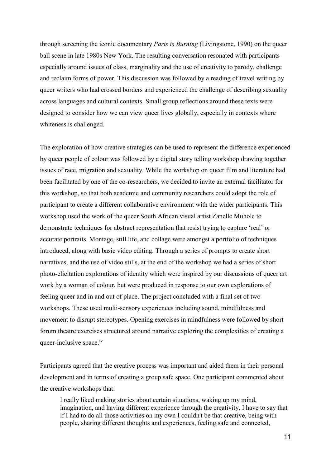through screening the iconic documentary *Paris is Burning* (Livingstone, 1990) on the queer ball scene in late 1980s New York. The resulting conversation resonated with participants especially around issues of class, marginality and the use of creativity to parody, challenge and reclaim forms of power. This discussion was followed by a reading of travel writing by queer writers who had crossed borders and experienced the challenge of describing sexuality across languages and cultural contexts. Small group reflections around these texts were designed to consider how we can view queer lives globally, especially in contexts where whiteness is challenged.

The exploration of how creative strategies can be used to represent the difference experienced by queer people of colour was followed by a digital story telling workshop drawing together issues of race, migration and sexuality. While the workshop on queer film and literature had been facilitated by one of the co-researchers, we decided to invite an external facilitator for this workshop, so that both academic and community researchers could adopt the role of participant to create a different collaborative environment with the wider participants. This workshop used the work of the queer South African visual artist Zanelle Muhole to demonstrate techniques for abstract representation that resist trying to capture 'real' or accurate portraits. Montage, still life, and collage were amongst a portfolio of techniques introduced, along with basic video editing. Through a series of prompts to create short narratives, and the use of video stills, at the end of the workshop we had a series of short photo-elicitation explorations of identity which were inspired by our discussions of queer art work by a woman of colour, but were produced in response to our own explorations of feeling queer and in and out of place. The project concluded with a final set of two workshops. These used multi-sensory experiences including sound, mindfulness and movement to disrupt stereotypes. Opening exercises in mindfulness were followed by short forum theatre exercises structured around narrative exploring the complexities of creating a queer-inclusive space.<sup>iv</sup>

Participants agreed that the creative process was important and aided them in their personal development and in terms of creating a group safe space. One participant commented about the creative workshops that:

I really liked making stories about certain situations, waking up my mind, imagination, and having different experience through the creativity. I have to say that if I had to do all those activities on my own I couldn't be that creative, being with people, sharing different thoughts and experiences, feeling safe and connected,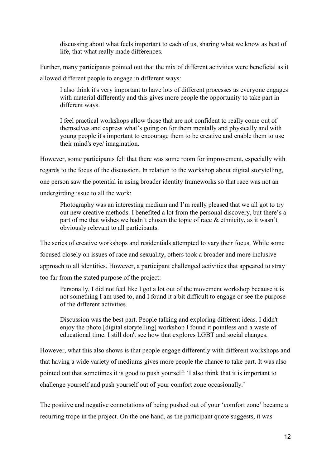discussing about what feels important to each of us, sharing what we know as best of life, that what really made differences.

Further, many participants pointed out that the mix of different activities were beneficial as it allowed different people to engage in different ways:

I also think it's very important to have lots of different processes as everyone engages with material differently and this gives more people the opportunity to take part in different ways.

I feel practical workshops allow those that are not confident to really come out of themselves and express what's going on for them mentally and physically and with young people it's important to encourage them to be creative and enable them to use their mind's eye/ imagination.

However, some participants felt that there was some room for improvement, especially with regards to the focus of the discussion. In relation to the workshop about digital storytelling, one person saw the potential in using broader identity frameworks so that race was not an undergirding issue to all the work:

Photography was an interesting medium and I'm really pleased that we all got to try out new creative methods. I benefited a lot from the personal discovery, but there's a part of me that wishes we hadn't chosen the topic of race & ethnicity, as it wasn't obviously relevant to all participants.

The series of creative workshops and residentials attempted to vary their focus. While some focused closely on issues of race and sexuality, others took a broader and more inclusive approach to all identities. However, a participant challenged activities that appeared to stray too far from the stated purpose of the project:

Personally, I did not feel like I got a lot out of the movement workshop because it is not something I am used to, and I found it a bit difficult to engage or see the purpose of the different activities.

Discussion was the best part. People talking and exploring different ideas. I didn't enjoy the photo [digital storytelling] workshop I found it pointless and a waste of educational time. I still don't see how that explores LGBT and social changes.

However, what this also shows is that people engage differently with different workshops and that having a wide variety of mediums gives more people the chance to take part. It was also pointed out that sometimes it is good to push yourself: 'I also think that it is important to challenge yourself and push yourself out of your comfort zone occasionally.'

The positive and negative connotations of being pushed out of your 'comfort zone' became a recurring trope in the project. On the one hand, as the participant quote suggests, it was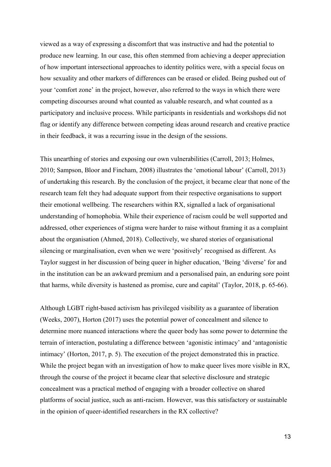viewed as a way of expressing a discomfort that was instructive and had the potential to produce new learning. In our case, this often stemmed from achieving a deeper appreciation of how important intersectional approaches to identity politics were, with a special focus on how sexuality and other markers of differences can be erased or elided. Being pushed out of your 'comfort zone' in the project, however, also referred to the ways in which there were competing discourses around what counted as valuable research, and what counted as a participatory and inclusive process. While participants in residentials and workshops did not flag or identify any difference between competing ideas around research and creative practice in their feedback, it was a recurring issue in the design of the sessions.

This unearthing of stories and exposing our own vulnerabilities (Carroll, 2013; Holmes, 2010; Sampson, Bloor and Fincham, 2008) illustrates the 'emotional labour' (Carroll, 2013) of undertaking this research. By the conclusion of the project, it became clear that none of the research team felt they had adequate support from their respective organisations to support their emotional wellbeing. The researchers within RX, signalled a lack of organisational understanding of homophobia. While their experience of racism could be well supported and addressed, other experiences of stigma were harder to raise without framing it as a complaint about the organisation (Ahmed, 2018). Collectively, we shared stories of organisational silencing or marginalisation, even when we were 'positively' recognised as different. As Taylor suggest in her discussion of being queer in higher education, 'Being 'diverse' for and in the institution can be an awkward premium and a personalised pain, an enduring sore point that harms, while diversity is hastened as promise, cure and capital' (Taylor, 2018, p. 65-66).

Although LGBT right-based activism has privileged visibility as a guarantee of liberation (Weeks, 2007), Horton (2017) uses the potential power of concealment and silence to determine more nuanced interactions where the queer body has some power to determine the terrain of interaction, postulating a difference between 'agonistic intimacy' and 'antagonistic intimacy' (Horton, 2017, p. 5). The execution of the project demonstrated this in practice. While the project began with an investigation of how to make queer lives more visible in RX, through the course of the project it became clear that selective disclosure and strategic concealment was a practical method of engaging with a broader collective on shared platforms of social justice, such as anti-racism. However, was this satisfactory or sustainable in the opinion of queer-identified researchers in the RX collective?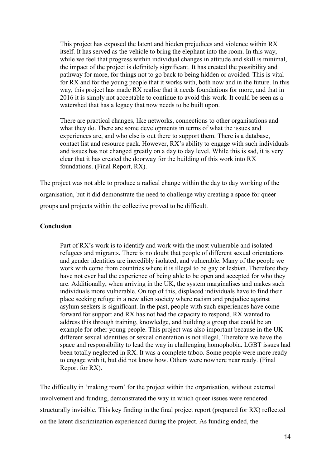This project has exposed the latent and hidden prejudices and violence within RX itself. It has served as the vehicle to bring the elephant into the room. In this way, while we feel that progress within individual changes in attitude and skill is minimal, the impact of the project is definitely significant. It has created the possibility and pathway for more, for things not to go back to being hidden or avoided. This is vital for RX and for the young people that it works with, both now and in the future. In this way, this project has made RX realise that it needs foundations for more, and that in 2016 it is simply not acceptable to continue to avoid this work. It could be seen as a watershed that has a legacy that now needs to be built upon.

There are practical changes, like networks, connections to other organisations and what they do. There are some developments in terms of what the issues and experiences are, and who else is out there to support them. There is a database, contact list and resource pack. However, RX's ability to engage with such individuals and issues has not changed greatly on a day to day level. While this is sad, it is very clear that it has created the doorway for the building of this work into RX foundations. (Final Report, RX).

The project was not able to produce a radical change within the day to day working of the organisation, but it did demonstrate the need to challenge why creating a space for queer groups and projects within the collective proved to be difficult.

### **Conclusion**

Part of RX's work is to identify and work with the most vulnerable and isolated refugees and migrants. There is no doubt that people of different sexual orientations and gender identities are incredibly isolated, and vulnerable. Many of the people we work with come from countries where it is illegal to be gay or lesbian. Therefore they have not ever had the experience of being able to be open and accepted for who they are. Additionally, when arriving in the UK, the system marginalises and makes such individuals more vulnerable. On top of this, displaced individuals have to find their place seeking refuge in a new alien society where racism and prejudice against asylum seekers is significant. In the past, people with such experiences have come forward for support and RX has not had the capacity to respond. RX wanted to address this through training, knowledge, and building a group that could be an example for other young people. This project was also important because in the UK different sexual identities or sexual orientation is not illegal. Therefore we have the space and responsibility to lead the way in challenging homophobia. LGBT issues had been totally neglected in RX. It was a complete taboo. Some people were more ready to engage with it, but did not know how. Others were nowhere near ready. (Final Report for RX).

The difficulty in 'making room' for the project within the organisation, without external involvement and funding, demonstrated the way in which queer issues were rendered structurally invisible. This key finding in the final project report (prepared for RX) reflected on the latent discrimination experienced during the project. As funding ended, the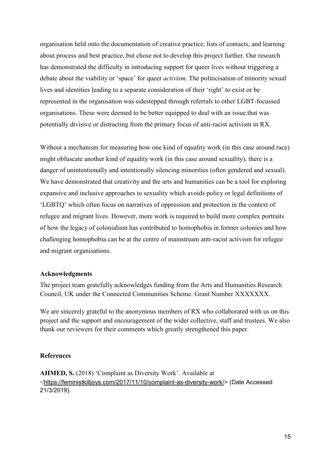organisation held onto the documentation of creative practice, lists of contacts, and learning about process and best practice, but chose not to develop this project further. Our research has demonstrated the difficulty in introducing support for queer lives without triggering a debate about the viability or 'space' for queer *activism*. The politicisation of minority sexual lives and identities leading to a separate consideration of their 'right' to exist or be represented in the organisation was sidestepped through referrals to other LGBT-focussed organisations. These were deemed to be better equipped to deal with an issue that was potentially divisive or distracting from the primary focus of anti-racist activism in RX.

Without a mechanism for measuring how one kind of equality work (in this case around race) might obfuscate another kind of equality work (in this case around sexuality), there is a danger of unintentionally and intentionally silencing minorities (often gendered and sexual). We have demonstrated that creativity and the arts and humanities can be a tool for exploring expansive and inclusive approaches to sexuality which avoids policy or legal definitions of 'LGBTQ' which often focus on narratives of oppression and protection in the context of refugee and migrant lives. However, more work is required to build more complex portraits of how the legacy of colonialism has contributed to homophobia in former colonies and how challenging homophobia can be at the centre of mainstream anti-racist activism for refugee and migrant organisations.

### **Acknowledgments**

The project team gratefully acknowledges funding from the Arts and Humanities Research Council, UK under the Connected Communities Scheme. Grant Number XXXXXXX.

We are sincerely grateful to the anonymous members of RX who collaborated with us on this project and the support and encouragement of the wider collective, staff and trustees. We also thank our reviewers for their comments which greatly strengthened this paper.

### **References**

**AHMED, S.** (2018) 'Complaint as Diversity Work'. Available at <[https://feministkilljoys.com/2017/11/10/complaint-as-diversity-work/>](https://feministkilljoys.com/2017/11/10/complaint-as-diversity-work/) (Date Accessed 21/3/2019).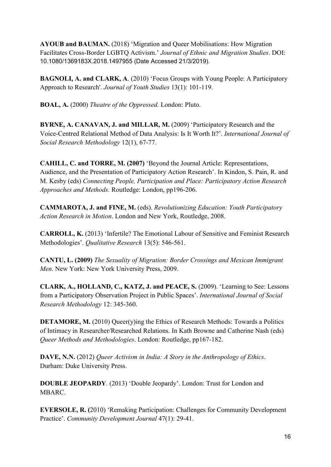**AYOUB and BAUMAN.** (2018) 'Migration and Queer Mobilisations: How Migration Facilitates Cross-Border LGBTQ Activism.' *Journal of Ethnic and Migration Studies*. DOI: [10.1080/1369183X.2018.1497955](https://doi.org/10.1080/1369183X.2018.1497955) (Date Accessed 21/3/2019).

**BAGNOLI, A. and CLARK, A**. (2010) 'Focus Groups with Young People: A Participatory Approach to Research'. *Journal of Youth Studies* 13(1): 101-119.

**BOAL, A.** (2000) *Theatre of the Oppressed.* London: Pluto.

**BYRNE, A. CANAVAN, J. and MILLAR, M.** (2009) 'Participatory Research and the Voice-Centred Relational Method of Data Analysis: Is It Worth It?'. *International Journal of Social Research Methodology* 12(1), 67-77.

**CAHILL, C. and TORRE, M. (2007)** '[Beyond the Journal Article: Representations,](https://www.taylorfrancis.com/books/e/9781134135561/chapters/10.4324/9780203933671-36)  [Audience, and the Presentation of Participatory Action Research](https://www.taylorfrancis.com/books/e/9781134135561/chapters/10.4324/9780203933671-36)'. In Kindon, S. Pain, R. and M. Kesby (eds) *Connecting People, Participation and Place: Participatory Action Research Approaches and Methods.* Routledge: London, pp196-206.

**CAMMAROTA, J. and FINE, M.** (eds). *Revolutionizing Education: Youth Participatory Action Research in Motion*. London and New York, Routledge, 2008.

**CARROLL, K.** (2013) 'Infertile? The Emotional Labour of Sensitive and Feminist Research Methodologies'. *Qualitative Research* 13(5): 546-561.

**CANTU, L. (2009)** *The Sexuality of Migration: Border Crossings and Mexican Immigrant Men*. New York: New York University Press, 2009.

**CLARK, A., HOLLAND, C., KATZ, J. and PEACE, S.** (2009). 'Learning to See: Lessons from a Participatory Observation Project in Public Spaces'. *International Journal of Social Research Methodology* 12: 345-360.

**DETAMORE, M.** (2010) Queer(y)ing the Ethics of Research Methods: Towards a Politics of Intimacy in Researcher/Researched Relations. In Kath Browne and Catherine Nash (eds) *Queer Methods and Methodologies*. London: Routledge, pp167-182.

**DAVE, N.N.** (2012) *Queer Activism in India: A Story in the Anthropology of Ethics*. Durham: Duke University Press.

**DOUBLE JEOPARDY**. (2013) 'Double Jeopardy'. London: Trust for London and MBARC.

**EVERSOLE, R. (**2010) 'Remaking Participation: Challenges for Community Development Practice'. *Community Development Journal* 47(1): 29-41.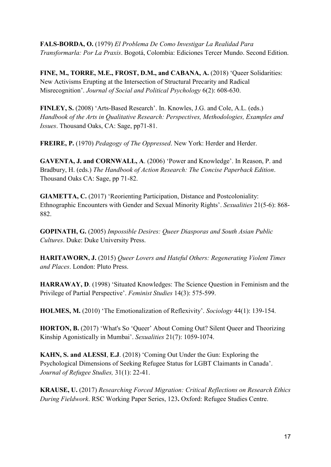**FALS-BORDA, O.** (1979) *El Problema De Como Investigar La Realidad Para Transformarla: Por La Praxis*. Bogotá, Colombia: Ediciones Tercer Mundo. Second Edition.

**FINE, M., TORRE, M.E., FROST, D.M., and CABANA, A.** (2018) 'Queer Solidarities: New Activisms Erupting at the Intersection of Structural Precarity and Radical Misrecognition'. *Journal of Social and Political Psychology* 6(2): 608-630.

**FINLEY, S.** (2008) 'Arts-Based Research'. In. Knowles, J.G. and Cole, A.L. (eds.) *Handbook of the Arts in Qualitative Research: Perspectives, Methodologies, Examples and Issues*. Thousand Oaks, CA: Sage, pp71-81.

**FREIRE, P.** (1970) *Pedagogy of The Oppressed*. New York: Herder and Herder.

**GAVENTA, J. and CORNWALL, A**. (2006) 'Power and Knowledge'. In Reason, P. and Bradbury, H. (eds.) *The Handbook of Action Research: The Concise Paperback Edition*. Thousand Oaks CA: Sage, pp 71-82.

**GIAMETTA, C.** (2017) 'Reorienting Participation, Distance and Postcoloniality: Ethnographic Encounters with Gender and Sexual Minority Rights'. *Sexualities* 21(5-6): 868- 882.

**GOPINATH, G.** (2005) *Impossible Desires: Queer Diasporas and South Asian Public Cultures*. Duke: Duke University Press.

**HARITAWORN, J.** (2015) *Queer Lovers and Hateful Others: Regenerating Violent Times and Places*. London: Pluto Press.

**HARRAWAY, D**. (1998) 'Situated Knowledges: The Science Question in Feminism and the Privilege of Partial Perspective'. *Feminist Studies* 14(3): 575-599.

**HOLMES, M.** (2010) 'The Emotionalization of Reflexivity'. *Sociology* 44(1): 139-154.

**HORTON, B.** (2017) 'What's So 'Queer' About Coming Out? Silent Queer and Theorizing Kinship Agonistically in Mumbai'. *Sexualities* 21(7): 1059-1074.

**KAHN, S. and ALESSI**, **E.J**. (2018) 'Coming Out Under the Gun: Exploring the Psychological Dimensions of Seeking Refugee Status for LGBT Claimants in Canada'. *Journal of Refugee Studies,* 31(1): 22-41.

**KRAUSE, U.** (2017) *Researching Forced Migration: Critical Reflections on Research Ethics During Fieldwork*. RSC Working Paper Series, 123**.** Oxford: Refugee Studies Centre.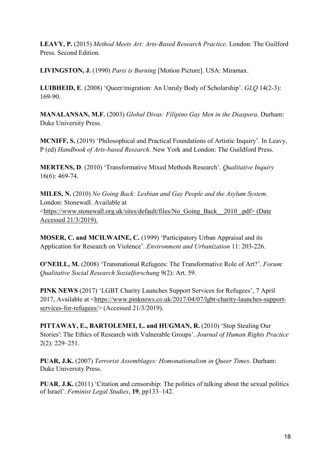**LEAVY, P.** (2015) *Method Meets Art: Arts-Based Research Practice*. London: The Guilford Press. Second Edition.

**LIVINGSTON, J.** (1990) *Paris is Burning* [Motion Picture]. USA: Miramax.

**LUIBHEID, E**. (2008) 'Queer/migration: An Unruly Body of Scholarship'. *GLQ* 14(2-3): 169-90.

**MANALANSAN, M.F.** (2003) *Global Divas: Filipino Gay Men in the Diaspora*. Durham: Duke University Press.

**MCNIFF, S.** (2019) 'Philosophical and Practical Foundations of Artistic Inquiry'. In Leavy, P (ed) *Handbook of Arts-based Research*. New York and London: The Guildford Press.

**MERTENS, D**. (2010) 'Transformative Mixed Methods Research'. *Qualitative Inquiry* 16(6): 469-74.

**MILES, N.** (2010) *No Going Back: Lesbian and Gay People and the Asylum System.* London: Stonewall. Available a[t](https://www.stonewall.org.uk/sites/default/files/No_Going_Back__2010_.pdf) [<https://www.stonewall.org.uk/sites/default/files/No\\_Going\\_Back\\_\\_2010\\_.pdf> \(Date](https://www.stonewall.org.uk/sites/default/files/No_Going_Back__2010_.pdf%3e%20(Date%20Accessed%2021/3/2019).)  [Accessed 21/3/2019\).](https://www.stonewall.org.uk/sites/default/files/No_Going_Back__2010_.pdf%3e%20(Date%20Accessed%2021/3/2019).) 

**MOSER, C. and MCILWAINE, C.** (1999) 'Participatory Urban Appraisal and its Application for Research on Violence'. *Environment and Urbanization* 11: 203-226.

**O'NEILL, M.** (2008) 'Transnational Refugees: The Transformative Role of Art?'. *Forum: Qualitative Social Research Sozialforschung* 9(2): Art. 59.

**PINK NEWS** (2017) 'LGBT Charity Launches Support Services for Refugees', 7 April 2017, Available at [<https://www.pinknews.co.uk/2017/04/07/lgbt-charity-launches-support](https://www.pinknews.co.uk/2017/04/07/lgbt-charity-launches-support-services-for-refugees/)[services-for-refugees/>](https://www.pinknews.co.uk/2017/04/07/lgbt-charity-launches-support-services-for-refugees/) (Accessed 21/3/2019).

**PITTAWAY, E., BARTOLEMEI, L. and HUGMAN, R.** (2010) 'Stop Stealing Our Stories': The Ethics of Research with Vulnerable Groups'. *Journal of Human Rights Practice* 2(2): 229–251.

**PUAR, J.K.** (2007) *Terrorist Assemblages: Homonationalism in Queer Times*. Durham: Duke University Press.

**PUAR**, **J.K.** (2011) 'Citation and censorship: The politics of talking about the sexual politics of Israel'. *Feminist Legal Studies*, **19**, pp133–142.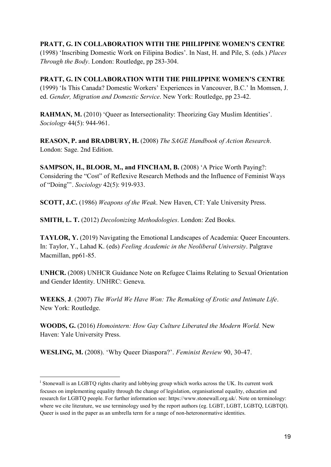## **PRATT, G. IN COLLABORATION WITH THE PHILIPPINE WOMEN'S CENTRE**

(1998) 'Inscribing Domestic Work on Filipina Bodies'. In Nast, H. and Pile, S. (eds*.*) *Places Through the Body*. London: Routledge, pp 283-304.

**PRATT, G. IN COLLABORATION WITH THE PHILIPPINE WOMEN'S CENTRE** (1999) 'Is This Canada? Domestic Workers' Experiences in Vancouver, B.C.' In Momsen, J. ed. *Gender, Migration and Domestic Service*. New York: Routledge, pp 23-42.

**RAHMAN, M.** (2010) 'Queer as Intersectionality: Theorizing Gay Muslim Identities'. *Sociology* 44(5): 944-961.

**REASON, P. and BRADBURY, H.** (2008) *The SAGE Handbook of Action Research*. London: Sage. 2nd Edition.

**SAMPSON, H., BLOOR, M., and FINCHAM, B.** (2008) 'A Price Worth Paying?: Considering the "Cost" of Reflexive Research Methods and the Influence of Feminist Ways of "Doing"'. *Sociology* 42(5): 919-933.

**SCOTT, J.C.** (1986) *Weapons of the Weak*. New Haven, CT: Yale University Press.

**SMITH, L. T.** (2012) *Decolonizing Methodologies*. London: Zed Books.

**TAYLOR, Y.** (2019) Navigating the Emotional Landscapes of Academia: Queer Encounters. In: Taylor, Y., Lahad K. (eds) *Feeling Academic in the Neoliberal University*. Palgrave Macmillan, pp61-85.

**UNHCR.** (2008) UNHCR Guidance Note on Refugee Claims Relating to Sexual Orientation and Gender Identity. UNHRC: Geneva.

**WEEKS**, **J**. (2007) *The World We Have Won: The Remaking of Erotic and Intimate Life*. New York: Routledge.

**WOODS, G.** (2016) *Homointern: How Gay Culture Liberated the Modern World.* New Haven: Yale University Press.

**WESLING, M.** (2008). 'Why Queer Diaspora?'. *Feminist Review* 90, 30-47.

-

<sup>&</sup>lt;sup>i</sup> Stonewall is an LGBTQ rights charity and lobbying group which works across the UK. Its current work focuses on implementing equality through the change of legislation, organisational equality, education and research for LGBTQ people. For further information see: [h](https://www.stonewall.org.uk/)ttps://www.stonewall.org.uk/. Note on terminology: where we cite literature, we use terminology used by the report authors (eg. LGBT, LGBT, LGBTQ, LGBTQI). Queer is used in the paper as an umbrella term for a range of non-heteronormative identities.